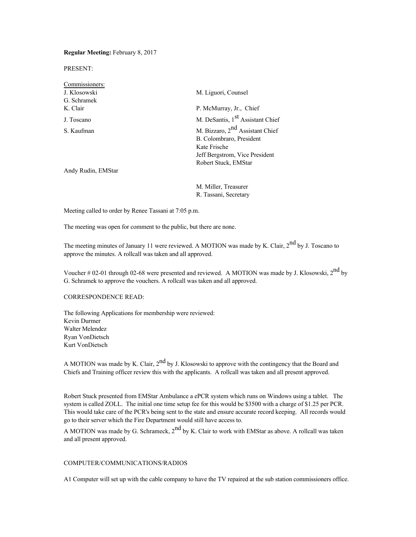**Regular Meeting:** February 8, 2017

PRESENT:

| Commissioners:     |                                              |
|--------------------|----------------------------------------------|
| J. Klosowski       | M. Liguori, Counsel                          |
| G. Schramek        |                                              |
| K. Clair           | P. McMurray, Jr., Chief                      |
| J. Toscano         | M. DeSantis, 1 <sup>st</sup> Assistant Chief |
| S. Kaufman         | M. Bizzaro, 2 <sup>nd</sup> Assistant Chief  |
|                    | B. Colombraro, President                     |
|                    | Kate Frische                                 |
|                    | Jeff Bergstrom, Vice President               |
|                    | Robert Stuck, EMStar                         |
| Andy Rudin, EMStar |                                              |

M. Miller, Treasurer R. Tassani, Secretary

Meeting called to order by Renee Tassani at 7:05 p.m.

The meeting was open for comment to the public, but there are none.

The meeting minutes of January 11 were reviewed. A MOTION was made by K. Clair, 2<sup>nd</sup> by J. Toscano to approve the minutes. A rollcall was taken and all approved.

Voucher # 02-01 through 02-68 were presented and reviewed. A MOTION was made by J. Klosowski,  $2^{nd}$  by G. Schramek to approve the vouchers. A rollcall was taken and all approved.

## CORRESPONDENCE READ:

The following Applications for membership were reviewed: Kevin Durmer Walter Melendez Ryan VonDietsch Kurt VonDietsch

A MOTION was made by K. Clair,  $2<sup>nd</sup>$  by J. Klosowski to approve with the contingency that the Board and Chiefs and Training officer review this with the applicants. A rollcall was taken and all present approved.

Robert Stuck presented from EMStar Ambulance a ePCR system which runs on Windows using a tablet. The system is called ZOLL. The initial one time setup fee for this would be \$3500 with a charge of \$1.25 per PCR. This would take care of the PCR's being sent to the state and ensure accurate record keeping. All records would go to their server which the Fire Department would still have access to.

A MOTION was made by G. Schrameck,  $2^{nd}$  by K. Clair to work with EMStar as above. A rollcall was taken and all present approved.

# COMPUTER/COMMUNICATIONS/RADIOS

A1 Computer will set up with the cable company to have the TV repaired at the sub station commissioners office.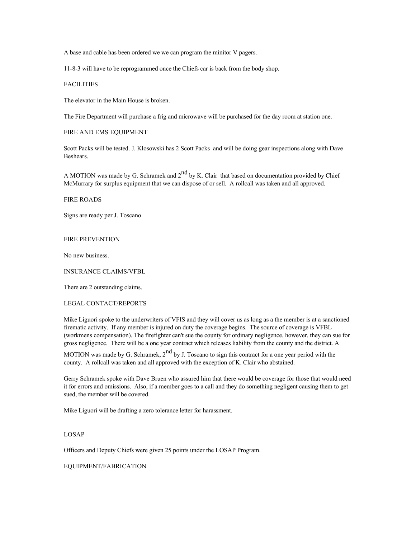A base and cable has been ordered we we can program the minitor V pagers.

11-8-3 will have to be reprogrammed once the Chiefs car is back from the body shop.

## **FACILITIES**

The elevator in the Main House is broken.

The Fire Department will purchase a frig and microwave will be purchased for the day room at station one.

#### FIRE AND EMS EQUIPMENT

Scott Packs will be tested. J. Klosowski has 2 Scott Packs and will be doing gear inspections along with Dave Beshears.

A MOTION was made by G. Schramek and  $2^{nd}$  by K. Clair that based on documentation provided by Chief McMurrary for surplus equipment that we can dispose of or sell. A rollcall was taken and all approved.

### FIRE ROADS

Signs are ready per J. Toscano

# FIRE PREVENTION

No new business.

INSURANCE CLAIMS/VFBL

There are 2 outstanding claims.

# LEGAL CONTACT/REPORTS

Mike Liguori spoke to the underwriters of VFIS and they will cover us as long as a the member is at a sanctioned firematic activity. If any member is injured on duty the coverage begins. The source of coverage is VFBL (workmens compensation). The firefighter can't sue the county for ordinary negligence, however, they can sue for gross negligence. There will be a one year contract which releases liability from the county and the district. A

MOTION was made by G. Schramek,  $2<sup>nd</sup>$  by J. Toscano to sign this contract for a one year period with the county. A rollcall was taken and all approved with the exception of K. Clair who abstained.

Gerry Schramek spoke with Dave Bruen who assured him that there would be coverage for those that would need it for errors and omissions. Also, if a member goes to a call and they do something negligent causing them to get sued, the member will be covered.

Mike Liguori will be drafting a zero tolerance letter for harassment.

## LOSAP

Officers and Deputy Chiefs were given 25 points under the LOSAP Program.

EQUIPMENT/FABRICATION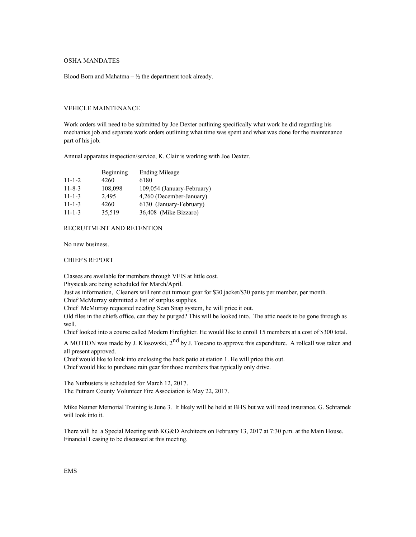# OSHA MANDATES

Blood Born and Mahatma –  $\frac{1}{2}$  the department took already.

# VEHICLE MAINTENANCE

Work orders will need to be submitted by Joe Dexter outlining specifically what work he did regarding his mechanics job and separate work orders outlining what time was spent and what was done for the maintenance part of his job.

Annual apparatus inspection/service, K. Clair is working with Joe Dexter.

|              | Beginning | <b>Ending Mileage</b>      |
|--------------|-----------|----------------------------|
| $11 - 1 - 2$ | 4260      | 6180                       |
| $11 - 8 - 3$ | 108,098   | 109,054 (January-February) |
| $11 - 1 - 3$ | 2.495     | 4,260 (December-January)   |
| $11 - 1 - 3$ | 4260      | 6130 (January-February)    |
| $11 - 1 - 3$ | 35,519    | 36,408 (Mike Bizzaro)      |
|              |           |                            |

#### RECRUITMENT AND RETENTION

No new business.

#### CHIEF'S REPORT

Classes are available for members through VFIS at little cost.

Physicals are being scheduled for March/April.

Just as information, Cleaners will rent out turnout gear for \$30 jacket/\$30 pants per member, per month.

Chief McMurray submitted a list of surplus supplies.

Chief McMurray requested needing Scan Snap system, he will price it out.

Old files in the chiefs office, can they be purged? This will be looked into. The attic needs to be gone through as well.

Chief looked into a course called Modern Firefighter. He would like to enroll 15 members at a cost of \$300 total.

A MOTION was made by J. Klosowski, 2<sup>nd</sup> by J. Toscano to approve this expenditure. A rollcall was taken and all present approved.

Chief would like to look into enclosing the back patio at station 1. He will price this out. Chief would like to purchase rain gear for those members that typically only drive.

The Nutbusters is scheduled for March 12, 2017. The Putnam County Volunteer Fire Association is May 22, 2017.

Mike Neuner Memorial Training is June 3. It likely will be held at BHS but we will need insurance, G. Schramek will look into it.

There will be a Special Meeting with KG&D Architects on February 13, 2017 at 7:30 p.m. at the Main House. Financial Leasing to be discussed at this meeting.